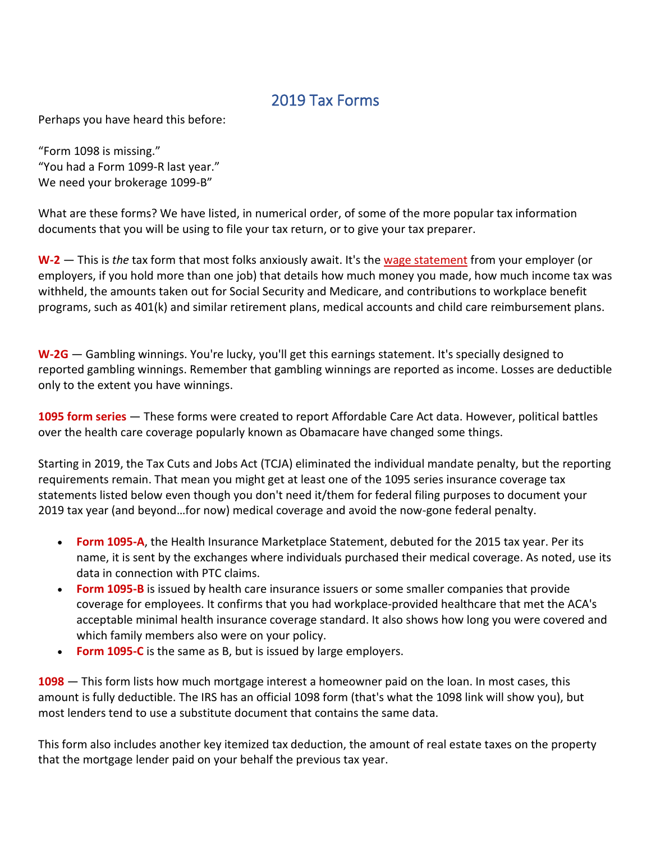## 2019 Tax Forms

Perhaps you have heard this before:

"Form 1098 is missing." "You had a Form 1099-R last year." We need your brokerage 1099-B"

What are these forms? We have listed, in numerical order, of some of the more popular tax information documents that you will be using to file your tax return, or to give your tax preparer.

**[W-2](https://www.irs.gov/pub/irs-prior/fw2--2019.pdf)** — This is *the* tax form that most folks anxiously await. It's the [wage statement](https://www.dontmesswithtaxes.com/2020/01/w2-form-what-all-those-boxes-and-fine-print-mean.html) from your employer (or employers, if you hold more than one job) that details how much money you made, how much income tax was withheld, the amounts taken out for Social Security and Medicare, and contributions to workplace benefit programs, such as 401(k) and similar retirement plans, medical accounts and child care reimbursement plans.

**[W-2G](https://www.irs.gov/pub/irs-prior/fw2g--2019.pdf)** — Gambling winnings. You're lucky, you'll get this earnings statement. It's specially designed to reported gambling winnings. Remember that gambling winnings are reported as income. Losses are deductible only to the extent you have winnings.

**[1095 form series](https://www.dontmesswithtaxes.com/2016/03/affordable-care-act-obamacare-1095-forms-coverage-verification.html)** — These forms were created to report Affordable Care Act data. However, political battles over the health care coverage popularly known as Obamacare have changed some things.

Starting in 2019, the Tax Cuts and Jobs Act (TCJA) eliminated the individual mandate penalty, but the reporting requirements remain. That mean you might get at least one of the 1095 series insurance coverage tax statements listed below even though you don't need it/them for federal filing purposes to document your 2019 tax year (and beyond…for now) medical coverage and avoid the now-gone federal penalty.

- **[Form 1095-A](https://www.irs.gov/pub/irs-pdf/f1095a.pdf)**, the Health Insurance Marketplace Statement, debuted for the 2015 tax year. Per its name, it is sent by the exchanges where individuals purchased their medical coverage. As noted, use its data in connection with PTC claims.
- **[Form 1095-B](https://www.irs.gov/pub/irs-pdf/f1095b.pdf)** is issued by health care insurance issuers or some smaller companies that provide coverage for employees. It confirms that you had workplace-provided healthcare that met the ACA's acceptable minimal health insurance coverage standard. It also shows how long you were covered and which family members also were on your policy.
- **[Form 1095-C](https://www.irs.gov/pub/irs-pdf/f1095c.pdf)** is the same as B, but is issued by large employers.

**[1098](https://www.irs.gov/pub/irs-prior/f1098--2019.pdf)** — This form lists how much mortgage interest a homeowner paid on the loan. In most cases, this amount is fully deductible. The IRS has an official 1098 form (that's what the 1098 link will show you), but most lenders tend to use a substitute document that contains the same data.

This form also includes another key itemized tax deduction, the amount of real estate taxes on the property that the mortgage lender paid on your behalf the previous tax year.